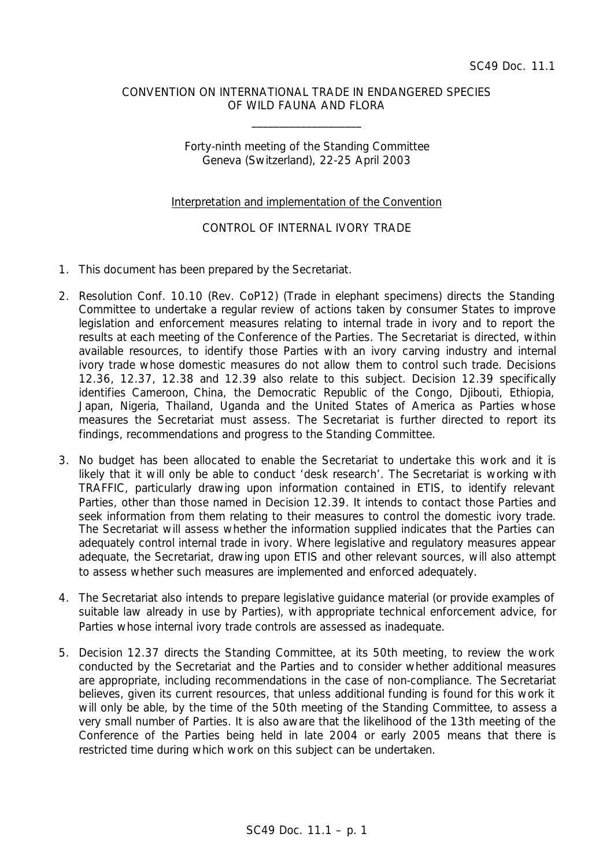### CONVENTION ON INTERNATIONAL TRADE IN ENDANGERED SPECIES OF WILD FAUNA AND FLORA

\_\_\_\_\_\_\_\_\_\_\_\_\_\_\_\_\_\_\_\_

# Forty-ninth meeting of the Standing Committee Geneva (Switzerland), 22-25 April 2003

### Interpretation and implementation of the Convention

# CONTROL OF INTERNAL IVORY TRADE

- 1. This document has been prepared by the Secretariat.
- 2. Resolution Conf. 10.10 (Rev. CoP12) (Trade in elephant specimens) directs the Standing Committee to undertake a regular review of actions taken by consumer States to improve legislation and enforcement measures relating to internal trade in ivory and to report the results at each meeting of the Conference of the Parties. The Secretariat is directed, within available resources, to identify those Parties with an ivory carving industry and internal ivory trade whose domestic measures do not allow them to control such trade. Decisions 12.36, 12.37, 12.38 and 12.39 also relate to this subject. Decision 12.39 specifically identifies Cameroon, China, the Democratic Republic of the Congo, Djibouti, Ethiopia, Japan, Nigeria, Thailand, Uganda and the United States of America as Parties whose measures the Secretariat must assess. The Secretariat is further directed to report its findings, recommendations and progress to the Standing Committee.
- 3. No budget has been allocated to enable the Secretariat to undertake this work and it is likely that it will only be able to conduct 'desk research'. The Secretariat is working with TRAFFIC, particularly drawing upon information contained in ETIS, to identify relevant Parties, other than those named in Decision 12.39. It intends to contact those Parties and seek information from them relating to their measures to control the domestic ivory trade. The Secretariat will assess whether the information supplied indicates that the Parties can adequately control internal trade in ivory. Where legislative and regulatory measures appear adequate, the Secretariat, drawing upon ETIS and other relevant sources, will also attempt to assess whether such measures are implemented and enforced adequately.
- 4. The Secretariat also intends to prepare legislative guidance material (or provide examples of suitable law already in use by Parties), with appropriate technical enforcement advice, for Parties whose internal ivory trade controls are assessed as inadequate.
- 5. Decision 12.37 directs the Standing Committee, at its 50th meeting, to review the work conducted by the Secretariat and the Parties and to consider whether additional measures are appropriate, including recommendations in the case of non-compliance. The Secretariat believes, given its current resources, that unless additional funding is found for this work it will only be able, by the time of the 50th meeting of the Standing Committee, to assess a very small number of Parties. It is also aware that the likelihood of the 13th meeting of the Conference of the Parties being held in late 2004 or early 2005 means that there is restricted time during which work on this subject can be undertaken.